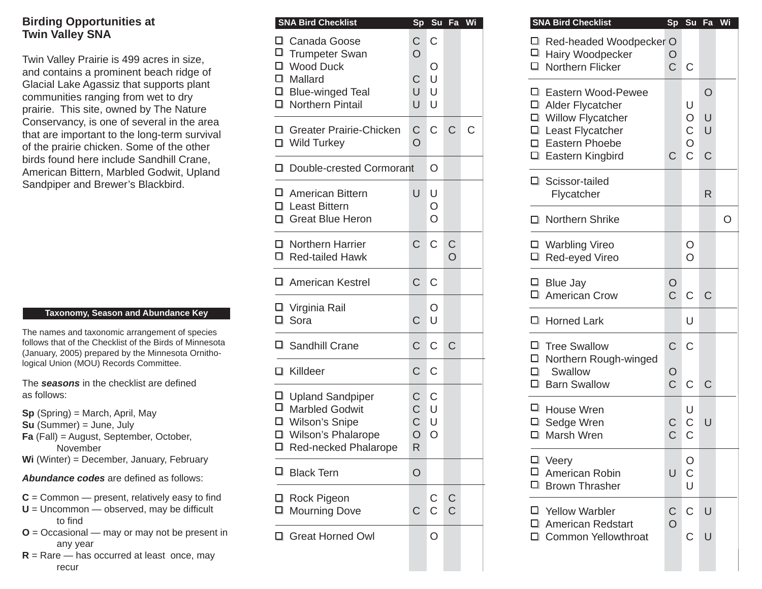### **Birding Opportunities at Twin Valley SNA**

Twin Valley Prairie is 499 acres in size, and contains a prominent beach ridge of Glacial Lake Agassiz that supports plant communities ranging from wet to dry prairie. This site, owned by The Nature Conservancy, is one of several in the area that are important to the long-term survival of the prairie chicken. Some of the other birds found here include Sandhill Crane, American Bittern, Marbled Godwit, Upland Sandpiper and Brewer's Blackbird.

#### **Taxonomy, Season and Abundance Key**

The names and taxonomic arrangement of species follows that of the Checklist of the Birds of Minnesota (January, 2005) prepared by the Minnesota Ornithological Union (MOU) Records Committee.

The **seasons** in the checklist are defined as follows:

- **Sp** (Spring) = March, April, May
- **Su** (Summer) = June, July
- **Fa** (Fall) = August, September, October, November
- **Wi** (Winter) = December, January, February

#### **Abundance codes** are defined as follows:

- $C =$  Common  $-$  present, relatively easy to find
- $U =$  Uncommon  $-$  observed, may be difficult to find
- **O** = Occasional may or may not be present in any year
- $R =$ Rare has occurred at least once, may recur

| <b>SNA Bird Checklist</b>                                                                                          | <b>Sp</b>                                              | Su                            | Fa                          | Wi |
|--------------------------------------------------------------------------------------------------------------------|--------------------------------------------------------|-------------------------------|-----------------------------|----|
| □ Canada Goose<br>□ Trumpeter Swan<br>□ Wood Duck<br>$\square$ Mallard<br>□ Blue-winged Teal<br>□ Northern Pintail | C<br>$\overline{O}$<br>C<br>U<br>U                     | C<br>Ο<br>U<br>U<br>U         |                             |    |
| □ Greater Prairie-Chicken<br>□ Wild Turkey                                                                         | $\mathsf C$<br>$\overline{O}$                          | C.                            | $\mathsf{C}$                | С  |
| □ Double-crested Cormorant                                                                                         |                                                        | O                             |                             |    |
| □ American Bittern<br>□ Least Bittern<br>□ Great Blue Heron                                                        | U                                                      | U<br>O<br>O                   |                             |    |
| □ Northern Harrier<br>□ Red-tailed Hawk                                                                            | C                                                      | C                             | $\frac{C}{O}$               |    |
| □ American Kestrel                                                                                                 | C                                                      | C                             |                             |    |
| □ Virginia Rail<br>$\square$ Sora                                                                                  | $\mathsf C$                                            | Ο<br>U                        |                             |    |
| □ Sandhill Crane                                                                                                   | C                                                      | C                             | C                           |    |
| $\Box$ Killdeer                                                                                                    | C                                                      | C                             |                             |    |
| □ Upland Sandpiper<br>□ Marbled Godwit<br>□ Wilson's Snipe<br>□ Wilson's Phalarope<br>□ Red-necked Phalarope       | С<br>$\mathsf C$<br>$\mathsf C$<br>$\overline{O}$<br>R | C<br>U<br>U<br>$\overline{O}$ |                             |    |
| ∃ Black Tern                                                                                                       | $\overline{O}$                                         |                               |                             |    |
| □ Rock Pigeon<br><b>Mourning Dove</b>                                                                              | C                                                      | $\mathsf C$<br>$\mathsf{C}$   | $\mathsf C$<br>$\mathsf{C}$ |    |
| Great Horned Owl                                                                                                   |                                                        | O                             |                             |    |

| <b>SNA Bird Checklist</b>                                                                                       |                                                            |                        | Sp Su Fa Wi                |              | <b>SNA Bird Checklist</b>                                                  |                           | Sp Su Fa                        |                   | Wi      |
|-----------------------------------------------------------------------------------------------------------------|------------------------------------------------------------|------------------------|----------------------------|--------------|----------------------------------------------------------------------------|---------------------------|---------------------------------|-------------------|---------|
| Canada Goose<br>Trumpeter Swan<br>I Wood Duck                                                                   | $\mathsf C$<br>$\circ$                                     | $\mathsf{C}$<br>O      |                            |              | □ Red-headed Woodpecker O<br>□ Hairy Woodpecker<br>$\Box$ Northern Flicker | O<br>$\overline{C}$       | $\mathsf{C}$                    |                   |         |
| I Mallard<br><b>Blue-winged Teal</b><br>Northern Pintail                                                        | $\mathsf C$<br>U<br>U                                      | U<br>$\cup$<br>U       |                            |              | 口 Eastern Wood-Pewee<br>□ Alder Flycatcher<br>□ Willow Flycatcher          |                           | U<br>O                          | $\circ$<br>$\cup$ |         |
| Greater Prairie-Chicken<br>Wild Turkey                                                                          | $\mathsf C$<br>$\circ$                                     | $\mathsf{C}$           | $\mathsf{C}$               | $\mathsf{C}$ | □ Least Flycatcher<br>□ Eastern Phoebe<br>□ Eastern Kingbird               | $\mathsf C$               | С<br>O<br>$\mathsf C$           | U<br>$\mathsf C$  |         |
| Double-crested Cormorant                                                                                        | O                                                          |                        |                            |              |                                                                            |                           |                                 |                   |         |
| 1 American Bittern<br>Least Bittern                                                                             | U                                                          | U<br>O                 |                            |              | □ Scissor-tailed<br>Flycatcher                                             |                           |                                 | $\mathsf{R}$      |         |
| Great Blue Heron                                                                                                |                                                            | O                      |                            |              | □ Northern Shrike                                                          |                           |                                 |                   | $\circ$ |
| I Northern Harrier<br>Red-tailed Hawk                                                                           | $\mathsf{C}$                                               | $\mathsf C$            | $\mathsf C$<br>$\circ$     |              | □ Warbling Vireo<br>$\Box$ Red-eyed Vireo                                  |                           | O<br>$\circ$                    |                   |         |
| 1 American Kestrel                                                                                              | $\mathsf{C}$                                               | $\mathsf{C}$           |                            |              | $\Box$ Blue Jay<br>□ American Crow                                         | O<br>$\overline{C}$       | $\mathsf{C}$                    | $\mathsf{C}$      |         |
| ] Virginia Rail<br>I Sora                                                                                       | $\mathsf{C}$                                               | O<br>U                 |                            |              | $\Box$ Horned Lark                                                         |                           | U                               |                   |         |
| <b>J</b> Sandhill Crane                                                                                         | $\mathsf C$                                                | $\mathsf C$            | $\mathsf C$                |              | $\Box$ Tree Swallow                                                        | $\mathsf C$               | $\mathsf{C}$                    |                   |         |
| I Killdeer                                                                                                      | $\mathsf C$                                                | $\mathsf C$            |                            |              | □ Northern Rough-winged<br>Swallow<br>П<br>□ Barn Swallow                  | $\circ$<br>$\overline{C}$ | $\mathsf C$                     | $\mathsf C$       |         |
| J Upland Sandpiper<br>Marbled Godwit<br>■ Wilson's Snipe<br><b>J</b> Wilson's Phalarope<br>Red-necked Phalarope | C<br>$\mathsf C$<br>$\mathsf C$<br>$\circ$<br>$\mathsf{R}$ | C<br>U<br>U<br>$\circ$ |                            |              | House Wren<br>□ Sedge Wren<br>$\Box$ Marsh Wren                            | C<br>C                    | U<br>$\mathsf C$<br>$\mathsf C$ | U                 |         |
| □ Black Tern                                                                                                    | $\circ$                                                    |                        |                            |              | $\Box$ Veery<br>American Robin<br>$\Box$ Brown Thrasher                    | U                         | O<br>C<br>U                     |                   |         |
| ⊒ Rock Pigeon<br>I Mourning Dove                                                                                | $\mathsf{C}$                                               | C<br>$\mathsf{C}$      | $\mathsf C$<br>$\mathsf C$ |              | $\Box$ Yellow Warbler<br><b>American Redstart</b>                          | $\mathsf C$               | C                               | $\cup$            |         |
| Great Horned Owl                                                                                                |                                                            | O                      |                            |              | <b>Common Yellowthroat</b><br>□                                            | $\circ$                   | C                               | U                 |         |